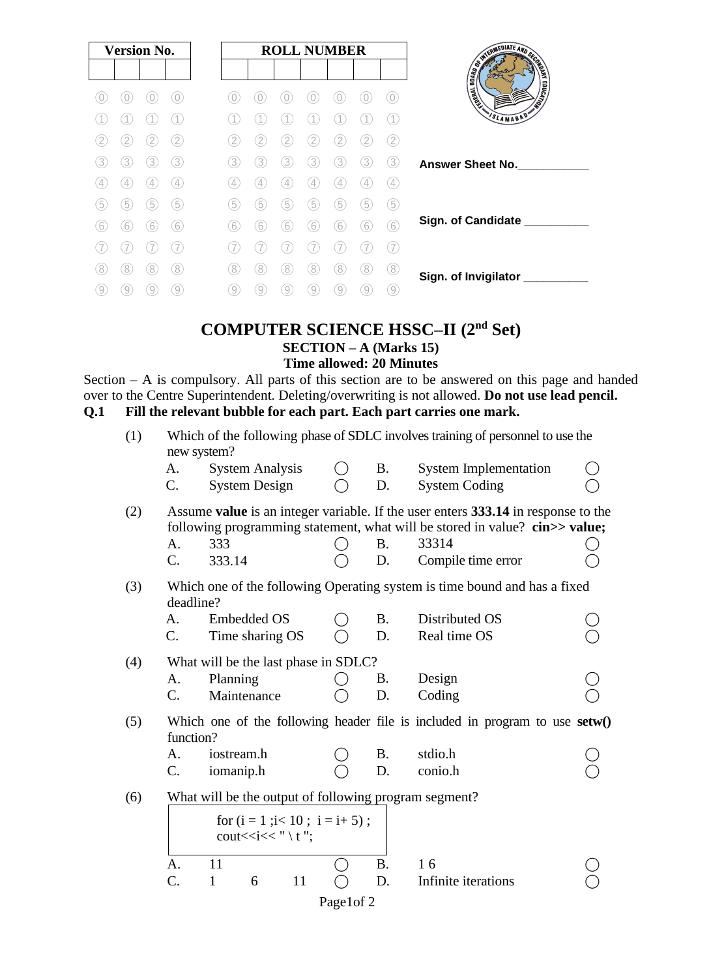| <b>Version No.</b> |   |   |                   |  |             |   | <b>ROLL NUMBER</b> |   |   |   |     |
|--------------------|---|---|-------------------|--|-------------|---|--------------------|---|---|---|-----|
|                    |   |   |                   |  |             |   |                    |   |   |   |     |
|                    |   |   |                   |  |             |   |                    |   |   |   |     |
|                    |   |   |                   |  |             |   |                    |   |   |   |     |
|                    |   |   | 12.               |  |             |   |                    |   |   |   | 2   |
| 3                  | 3 | 3 | 3                 |  | 3           | 3 | 3                  | 3 | 3 | 3 | 3   |
|                    | 4 | 4 | $\left( 4\right)$ |  | 4           | 4 | 4                  | 4 |   |   | (4  |
| 5                  | 5 | 5 | (5)               |  | 5           | 5 | 5                  | 5 | 5 | 5 | (5) |
| 6                  | 6 | 6 | 6                 |  | $6^{\circ}$ | 6 | 6                  | 6 | 6 | 6 | (6  |
|                    |   |   |                   |  |             |   |                    |   |   |   |     |
| 8                  | 8 | 8 | 8                 |  | 8.          | 8 | 8                  | 8 | 8 | 8 | (8) |
| 9                  | 9 | 9 | 9                 |  | 9           | 9 | 9                  |   |   |   | 9   |
|                    |   |   |                   |  |             |   |                    |   |   |   |     |

### **COMPUTER SCIENCE HSSC–II (2nd Set) SECTION – A (Marks 15) Time allowed: 20 Minutes**

Section – A is compulsory. All parts of this section are to be answered on this page and handed over to the Centre Superintendent. Deleting/overwriting is not allowed. **Do not use lead pencil. Q.1 Fill the relevant bubble for each part. Each part carries one mark.**

| (1) | Which of the following phase of SDLC involves training of personnel to use the<br>new system? |                                                       |    |           |           |                                                                                                                                                                  |  |  |
|-----|-----------------------------------------------------------------------------------------------|-------------------------------------------------------|----|-----------|-----------|------------------------------------------------------------------------------------------------------------------------------------------------------------------|--|--|
|     | A.                                                                                            | <b>System Analysis</b>                                |    |           | <b>B.</b> | <b>System Implementation</b>                                                                                                                                     |  |  |
|     | C.                                                                                            | <b>System Design</b>                                  |    |           | D.        | <b>System Coding</b>                                                                                                                                             |  |  |
| (2) |                                                                                               |                                                       |    |           |           | Assume value is an integer variable. If the user enters 333.14 in response to the<br>following programming statement, what will be stored in value? cin>> value; |  |  |
|     | A.                                                                                            | 333                                                   |    |           | <b>B.</b> | 33314                                                                                                                                                            |  |  |
|     | C.                                                                                            | 333.14                                                |    |           | D.        | Compile time error                                                                                                                                               |  |  |
| (3) | deadline?                                                                                     |                                                       |    |           |           | Which one of the following Operating system is time bound and has a fixed                                                                                        |  |  |
|     | A.                                                                                            | <b>Embedded OS</b>                                    |    |           | <b>B.</b> | Distributed OS                                                                                                                                                   |  |  |
|     | C.                                                                                            | Time sharing OS                                       |    |           | D.        | Real time OS                                                                                                                                                     |  |  |
| (4) |                                                                                               | What will be the last phase in SDLC?                  |    |           |           |                                                                                                                                                                  |  |  |
|     | A.                                                                                            | Planning                                              |    |           | <b>B.</b> | Design                                                                                                                                                           |  |  |
|     | C.                                                                                            | Maintenance                                           |    |           | D.        | Coding                                                                                                                                                           |  |  |
| (5) | function?                                                                                     |                                                       |    |           |           | Which one of the following header file is included in program to use $setw()$                                                                                    |  |  |
|     | A.                                                                                            | iostream.h                                            |    |           | <b>B.</b> | stdio.h                                                                                                                                                          |  |  |
|     | C.                                                                                            | iomanip.h                                             |    |           | D.        | conio.h                                                                                                                                                          |  |  |
| (6) |                                                                                               | What will be the output of following program segment? |    |           |           |                                                                                                                                                                  |  |  |
|     |                                                                                               | for $(i = 1 ; i < 10 ; i = i + 5)$ ;                  |    |           |           |                                                                                                                                                                  |  |  |
|     | A.                                                                                            | 11                                                    |    |           | <b>B.</b> | 16                                                                                                                                                               |  |  |
|     | $\mathcal{C}$ .                                                                               | $\mathbf{1}$<br>6                                     | 11 |           | D.        | Infinite iterations                                                                                                                                              |  |  |
|     |                                                                                               |                                                       |    | Page1of 2 |           |                                                                                                                                                                  |  |  |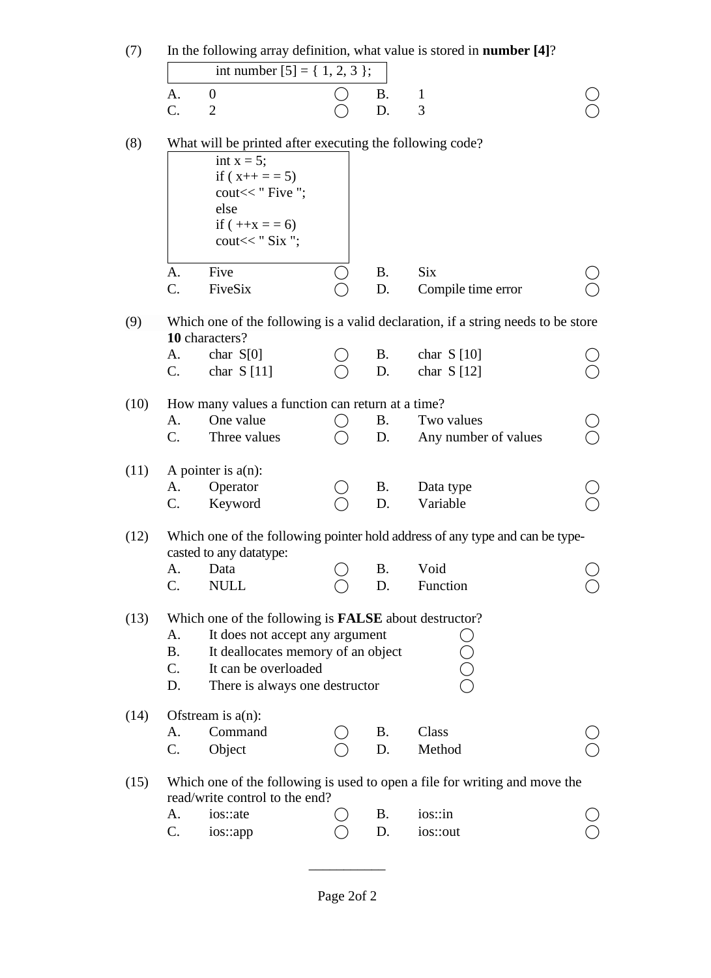| (7)  | In the following array definition, what value is stored in <b>number</b> [4]?<br>int number $[5] = \{ 1, 2, 3 \};$ |                                                              |               |           |                                                                                  |  |  |  |  |  |
|------|--------------------------------------------------------------------------------------------------------------------|--------------------------------------------------------------|---------------|-----------|----------------------------------------------------------------------------------|--|--|--|--|--|
|      |                                                                                                                    |                                                              |               |           |                                                                                  |  |  |  |  |  |
|      | A.                                                                                                                 | $\boldsymbol{0}$                                             |               | <b>B.</b> | $\mathbf{1}$                                                                     |  |  |  |  |  |
|      | C.                                                                                                                 | $\overline{2}$                                               |               | D.        | 3                                                                                |  |  |  |  |  |
| (8)  |                                                                                                                    | What will be printed after executing the following code?     |               |           |                                                                                  |  |  |  |  |  |
|      |                                                                                                                    | int $x = 5$ ;                                                |               |           |                                                                                  |  |  |  |  |  |
|      |                                                                                                                    | if $(x++ == 5)$                                              |               |           |                                                                                  |  |  |  |  |  |
|      |                                                                                                                    | cout << " Five ";<br>else                                    |               |           |                                                                                  |  |  |  |  |  |
|      |                                                                                                                    | if $(++x) = 6$                                               |               |           |                                                                                  |  |  |  |  |  |
|      |                                                                                                                    | cout $<<$ " Six ";                                           |               |           |                                                                                  |  |  |  |  |  |
|      | A.                                                                                                                 | Five                                                         |               | <b>B.</b> | <b>Six</b>                                                                       |  |  |  |  |  |
|      | C.                                                                                                                 | FiveSix                                                      |               | D.        | Compile time error                                                               |  |  |  |  |  |
|      |                                                                                                                    |                                                              |               |           |                                                                                  |  |  |  |  |  |
| (9)  |                                                                                                                    | 10 characters?                                               |               |           | Which one of the following is a valid declaration, if a string needs to be store |  |  |  |  |  |
|      | A.                                                                                                                 | char $S[0]$                                                  |               | <b>B.</b> | char $S[10]$                                                                     |  |  |  |  |  |
|      | C.                                                                                                                 | char $S[11]$                                                 |               | D.        | char $S[12]$                                                                     |  |  |  |  |  |
| (10) |                                                                                                                    | How many values a function can return at a time?             |               |           |                                                                                  |  |  |  |  |  |
|      | A.                                                                                                                 | One value                                                    | $\rightarrow$ | <b>B.</b> | Two values                                                                       |  |  |  |  |  |
|      | $\mathcal{C}$ .                                                                                                    | Three values                                                 |               | D.        | Any number of values                                                             |  |  |  |  |  |
| (11) |                                                                                                                    | A pointer is $a(n)$ :                                        |               |           |                                                                                  |  |  |  |  |  |
|      | A.                                                                                                                 | Operator                                                     |               | <b>B.</b> | Data type                                                                        |  |  |  |  |  |
|      | C.                                                                                                                 | Keyword                                                      |               | D.        | Variable                                                                         |  |  |  |  |  |
| (12) |                                                                                                                    |                                                              |               |           | Which one of the following pointer hold address of any type and can be type-     |  |  |  |  |  |
|      |                                                                                                                    | casted to any datatype:                                      |               |           |                                                                                  |  |  |  |  |  |
|      | A.                                                                                                                 | Data                                                         |               | <b>B.</b> | Void                                                                             |  |  |  |  |  |
|      | C.                                                                                                                 | <b>NULL</b>                                                  |               | D.        | Function                                                                         |  |  |  |  |  |
| (13) |                                                                                                                    | Which one of the following is <b>FALSE</b> about destructor? |               |           |                                                                                  |  |  |  |  |  |
|      | A.                                                                                                                 | It does not accept any argument                              |               |           |                                                                                  |  |  |  |  |  |
|      | <b>B.</b>                                                                                                          | It deallocates memory of an object                           |               |           |                                                                                  |  |  |  |  |  |
|      | C.                                                                                                                 | It can be overloaded                                         |               |           | U<br>O<br>O<br>O                                                                 |  |  |  |  |  |
|      | D.                                                                                                                 | There is always one destructor                               |               |           |                                                                                  |  |  |  |  |  |
| (14) |                                                                                                                    | Ofstream is $a(n)$ :                                         |               |           |                                                                                  |  |  |  |  |  |
|      | A.                                                                                                                 | Command                                                      |               | <b>B.</b> | Class                                                                            |  |  |  |  |  |
|      | C.                                                                                                                 | Object                                                       |               | D.        | Method                                                                           |  |  |  |  |  |
| (15) |                                                                                                                    | read/write control to the end?                               |               |           | Which one of the following is used to open a file for writing and move the       |  |  |  |  |  |
|      | A.                                                                                                                 | ios: ate                                                     |               | <b>B.</b> | ios::in                                                                          |  |  |  |  |  |
|      | C.                                                                                                                 | ios::app                                                     |               | D.        | ios::out                                                                         |  |  |  |  |  |
|      |                                                                                                                    |                                                              |               |           |                                                                                  |  |  |  |  |  |

\_\_\_\_\_\_\_\_\_\_\_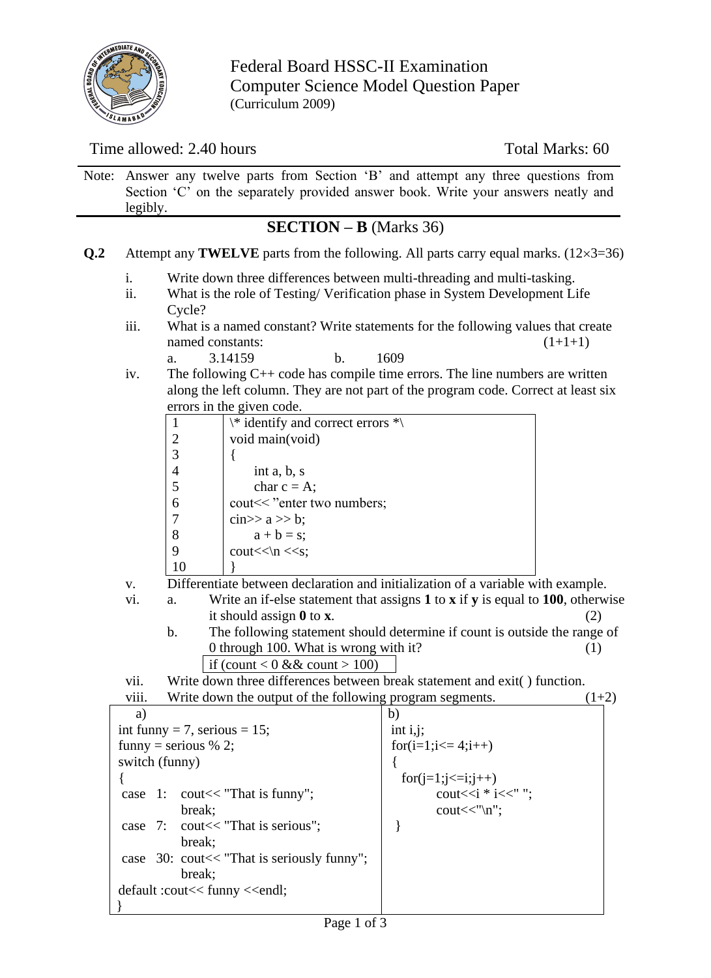

Federal Board HSSC-II Examination Computer Science Model Question Paper (Curriculum 2009)

### Time allowed: 2.40 hours Total Marks: 60

|     | Note: Answer any twelve parts from Section 'B' and attempt any three questions from<br>Section 'C' on the separately provided answer book. Write your answers neatly and<br>legibly. |
|-----|--------------------------------------------------------------------------------------------------------------------------------------------------------------------------------------|
|     | $SECTION - B (Marks 36)$                                                                                                                                                             |
| O.2 | Attempt any <b>TWELVE</b> parts from the following. All parts carry equal marks. $(12\times3=36)$                                                                                    |
|     | Write down three differences between multi-threading and multi-tasking.                                                                                                              |

- ii. What is the role of Testing/ Verification phase in System Development Life Cycle?
- iii. What is a named constant? Write statements for the following values that create named constants:  $(1+1+1)$ 
	- a. 3.14159 b. 1609
- iv. The following C++ code has compile time errors. The line numbers are written along the left column. They are not part of the program code. Correct at least six errors in the given code.

|     |                | $\ast$ identify and correct errors $\ast$                                            |  |
|-----|----------------|--------------------------------------------------------------------------------------|--|
|     | 2              | void main(void)                                                                      |  |
|     | 3              |                                                                                      |  |
|     | $\overline{4}$ | int $a, b, s$                                                                        |  |
|     |                | char $c = A$ ;                                                                       |  |
|     | 6              | cout << "enter two numbers;                                                          |  |
|     |                | cin $\gg$ a $\gg$ b;                                                                 |  |
|     | 8              | $a + b = s$ ;                                                                        |  |
|     | q              | $\text{cout} \ll \text{n} \ll s$ ;                                                   |  |
|     | 10             |                                                                                      |  |
| v.  |                | Differentiate between declaration and initialization of a variable with example.     |  |
| vi. | a.             | Write an if-else statement that assigns $1$ to $x$ if $y$ is equal to 100, otherwise |  |
|     |                | it should assign $\bf{0}$ to $\bf{x}$ .                                              |  |
|     | <b>L</b>       | The fellowing statement should determine if count is outside the nonge of            |  |

b. The following statement should determine if count is outside the range of 0 through 100. What is wrong with it? (1) if (count  $< 0$  & & count  $> 100$ )

vii. Write down three differences between break statement and exit( ) function.

| viii.<br>Write down the output of the following program segments. |                                    | $(1+2)$ |
|-------------------------------------------------------------------|------------------------------------|---------|
| a)                                                                | b)                                 |         |
| int funny = 7, serious = $15$ ;                                   | int $i, j$ ;                       |         |
| funny = serious % 2;                                              | for $(i=1; i<=4; i++)$             |         |
| switch (funny)                                                    |                                    |         |
|                                                                   | $for (j=1; j<=i; j++)$             |         |
| case $1:$ cout $<<$ "That is funny";                              | cout $<";$                         |         |
| break:                                                            | $\text{cout}<<''\n\backslash n$ "; |         |
| case $7:$ cout $<<$ "That is serious";                            |                                    |         |
| break:                                                            |                                    |         |
| case $30$ : cout $<<$ "That is seriously funny";                  |                                    |         |
| break:                                                            |                                    |         |
|                                                                   |                                    |         |
|                                                                   |                                    |         |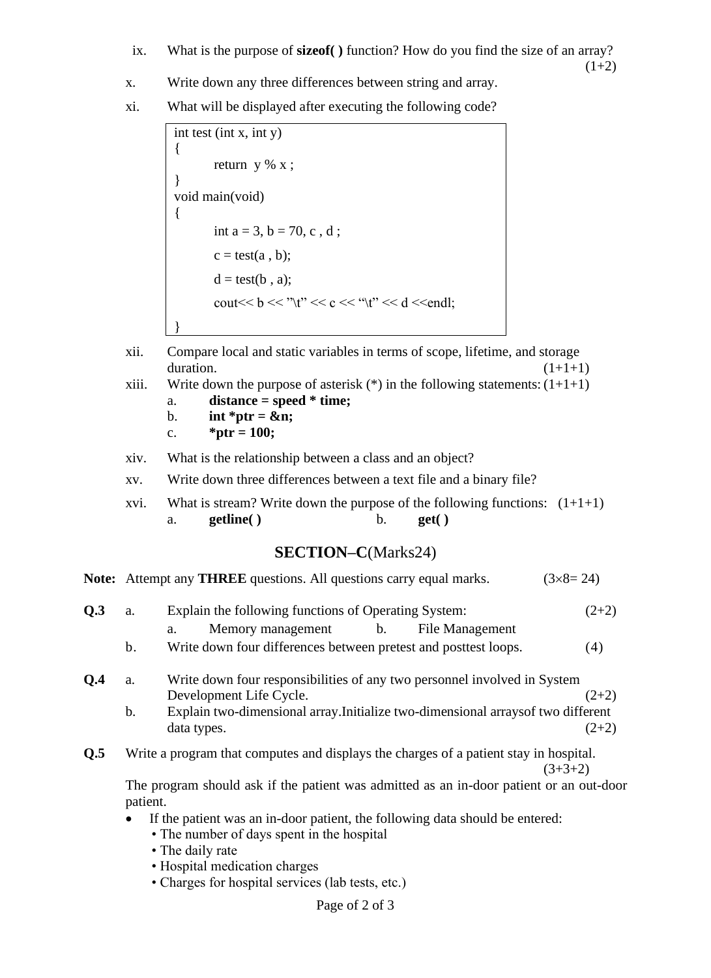- ix. What is the purpose of **sizeof( )** function? How do you find the size of an array?
	- $(1+2)$
- x. Write down any three differences between string and array.
- xi. What will be displayed after executing the following code?

```
int test (int x, int y)
{
       return y % x ;}
void main(void)
{
       int a = 3, b = 70, c, d;
       c = test(a, b);d = test(b, a);cout \lt b \lt "\t" \lt c \lt "\t" \lt d \lt endl;
}
```
- xii. Compare local and static variables in terms of scope, lifetime, and storage duration.  $(1+1+1)$
- xiii. Write down the purpose of asterisk  $(*)$  in the following statements:  $(1+1+1)$ 
	- a. **distance = speed \* time;**
	- b. **int** \*ptr =  $\&mathbf{\&}$ n;
	- c.  $*ptr = 100;$
- xiv. What is the relationship between a class and an object?
- xv. Write down three differences between a text file and a binary file?
- xvi. What is stream? Write down the purpose of the following functions:  $(1+1+1)$ a. **getline( )** b. **get( )**

## **SECTION–C**(Marks24)

|     |                                                                                                     | Note: Attempt any THREE questions. All questions carry equal marks.                                                                            | $(3 \times 8 = 24)$ |  |  |  |  |  |  |  |
|-----|-----------------------------------------------------------------------------------------------------|------------------------------------------------------------------------------------------------------------------------------------------------|---------------------|--|--|--|--|--|--|--|
| Q.3 | a.                                                                                                  | Explain the following functions of Operating System:                                                                                           | $(2+2)$             |  |  |  |  |  |  |  |
|     |                                                                                                     | Memory management b.<br>File Management<br>a.                                                                                                  |                     |  |  |  |  |  |  |  |
|     | b.                                                                                                  | Write down four differences between pretest and posttest loops.                                                                                | (4)                 |  |  |  |  |  |  |  |
| Q.4 | a.                                                                                                  | Write down four responsibilities of any two personnel involved in System<br>Development Life Cycle.                                            | $(2+2)$             |  |  |  |  |  |  |  |
|     | b.                                                                                                  | Explain two-dimensional array. Initialize two-dimensional arrays of two different<br>data types.                                               | $(2+2)$             |  |  |  |  |  |  |  |
| Q.5 |                                                                                                     | Write a program that computes and displays the charges of a patient stay in hospital.                                                          | $(3+3+2)$           |  |  |  |  |  |  |  |
|     | The program should ask if the patient was admitted as an in-door patient or an out-door<br>patient. |                                                                                                                                                |                     |  |  |  |  |  |  |  |
|     | $\bullet$                                                                                           | If the patient was an in-door patient, the following data should be entered:<br>• The number of days spent in the hospital<br>• The daily rate |                     |  |  |  |  |  |  |  |

- Hospital medication charges
- Charges for hospital services (lab tests, etc.)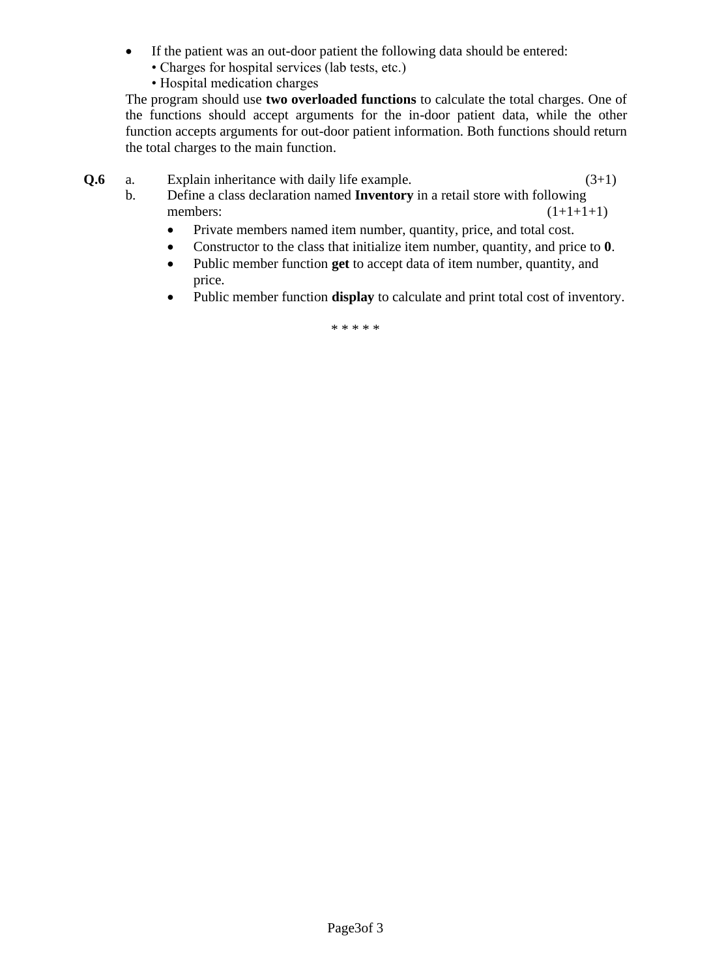- If the patient was an out-door patient the following data should be entered:
	- Charges for hospital services (lab tests, etc.)
	- Hospital medication charges

The program should use **two overloaded functions** to calculate the total charges. One of the functions should accept arguments for the in-door patient data, while the other function accepts arguments for out-door patient information. Both functions should return the total charges to the main function.

- **Q.6** a. Explain inheritance with daily life example. (3+1)
	- b. Define a class declaration named **Inventory** in a retail store with following members:  $(1+1+1+1)$ 
		- Private members named item number, quantity, price, and total cost.
		- Constructor to the class that initialize item number, quantity, and price to **0**.
		- Public member function **get** to accept data of item number, quantity, and price.
		- Public member function **display** to calculate and print total cost of inventory.

\* \* \* \* \*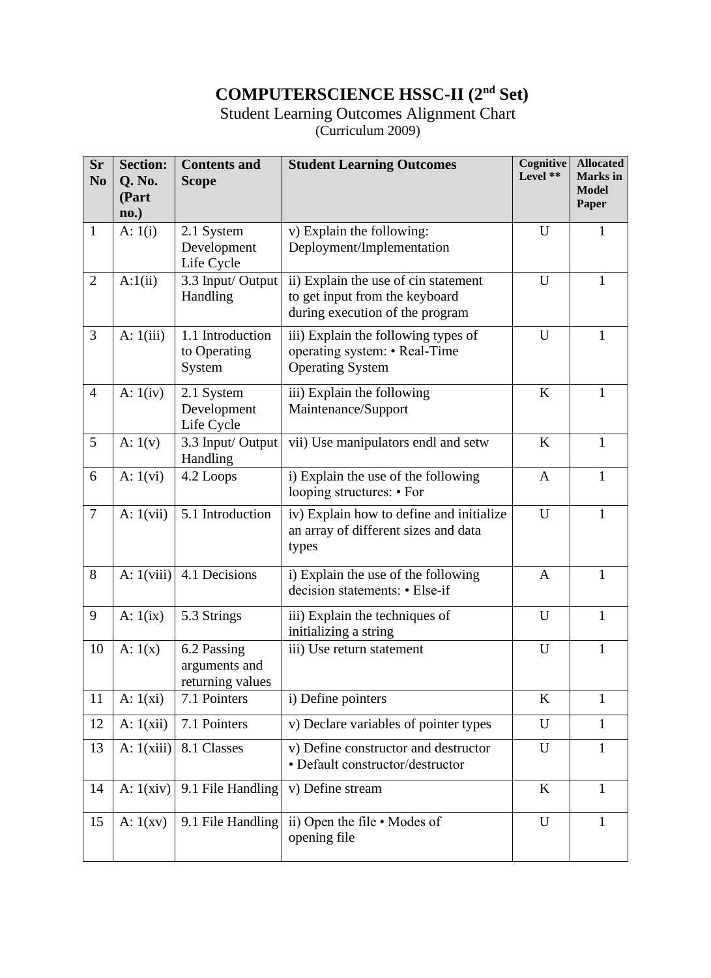# **COMPUTERSCIENCE HSSC-II (2nd Set)**

#### Student Learning Outcomes Alignment Chart (Curriculum 2009)

| <b>Sr</b><br>N <sub>0</sub> | <b>Section:</b><br>Q. No.<br>(Part<br>$\mathbf{no.}$ | <b>Contents and</b><br><b>Scope</b>              | <b>Student Learning Outcomes</b>                                                                          | Cognitive<br>Level ** | <b>Allocated</b><br><b>Marks</b> in<br><b>Model</b><br>Paper |
|-----------------------------|------------------------------------------------------|--------------------------------------------------|-----------------------------------------------------------------------------------------------------------|-----------------------|--------------------------------------------------------------|
| $\mathbf{1}$                | A: $1(i)$                                            | 2.1 System<br>Development<br>Life Cycle          | v) Explain the following:<br>Deployment/Implementation                                                    | U                     | 1                                                            |
| $\overline{2}$              | A:1(ii)                                              | 3.3 Input/ Output<br>Handling                    | ii) Explain the use of cin statement<br>to get input from the keyboard<br>during execution of the program | U                     | 1                                                            |
| $\overline{3}$              | A: 1(iii)                                            | 1.1 Introduction<br>to Operating<br>System       | iii) Explain the following types of<br>operating system: • Real-Time<br><b>Operating System</b>           | U                     | 1                                                            |
| $\overline{4}$              | A: $1(iv)$                                           | 2.1 System<br>Development<br>Life Cycle          | iii) Explain the following<br>Maintenance/Support                                                         | $\bf K$               | 1                                                            |
| 5                           | A: $1(v)$                                            | 3.3 Input/ Output<br>Handling                    | vii) Use manipulators endl and setw                                                                       | K                     | 1                                                            |
| 6                           | A: $1(vi)$                                           | 4.2 Loops                                        | i) Explain the use of the following<br>looping structures: • For                                          | $\mathbf{A}$          | $\mathbf{1}$                                                 |
| $\overline{7}$              | A: $1(vii)$                                          | 5.1 Introduction                                 | iv) Explain how to define and initialize<br>an array of different sizes and data<br>types                 | U                     | 1                                                            |
| 8                           | A: 1(viii)                                           | 4.1 Decisions                                    | i) Explain the use of the following<br>decision statements: • Else-if                                     | A                     | 1                                                            |
| 9                           | A: $1(ix)$                                           | 5.3 Strings                                      | iii) Explain the techniques of<br>initializing a string                                                   | U                     | $\mathbf{1}$                                                 |
| 10                          | A: $1(x)$                                            | 6.2 Passing<br>arguments and<br>returning values | iii) Use return statement                                                                                 | U                     | 1                                                            |
| 11                          | A: $1(xi)$                                           | 7.1 Pointers                                     | i) Define pointers                                                                                        | $\bf K$               | 1                                                            |
| 12                          | A: $1(xii)$                                          | 7.1 Pointers                                     | v) Declare variables of pointer types                                                                     | $\mathbf U$           | $\mathbf{1}$                                                 |
| 13                          | A: $1(xiii)$                                         | 8.1 Classes                                      | v) Define constructor and destructor<br>• Default constructor/destructor                                  | U                     | 1                                                            |
| 14                          | A: $1(xiv)$                                          | 9.1 File Handling                                | v) Define stream                                                                                          | K                     | 1                                                            |
| 15                          | A: $1(xv)$                                           | 9.1 File Handling                                | ii) Open the file • Modes of<br>opening file                                                              | U                     | $\mathbf{1}$                                                 |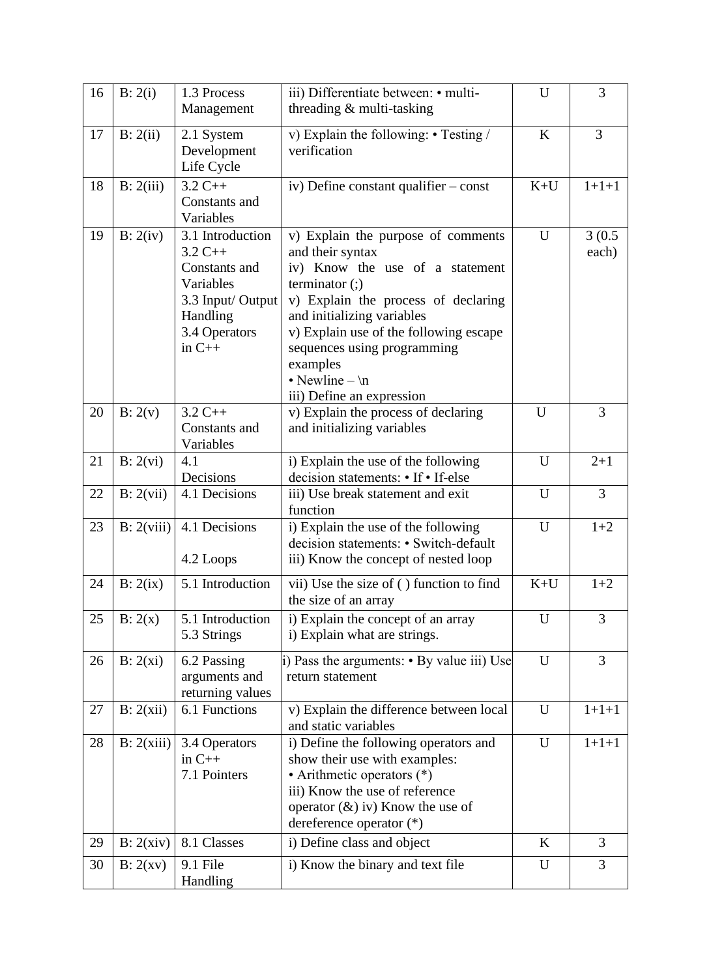| 16 | B: 2(i)    | 1.3 Process<br>Management                                                                                                 | iii) Differentiate between: • multi-<br>threading & multi-tasking                                                                                                                                                                                                                                                            | U     | 3               |
|----|------------|---------------------------------------------------------------------------------------------------------------------------|------------------------------------------------------------------------------------------------------------------------------------------------------------------------------------------------------------------------------------------------------------------------------------------------------------------------------|-------|-----------------|
| 17 | B: 2(ii)   | 2.1 System<br>Development<br>Life Cycle                                                                                   | v) Explain the following: • Testing /<br>verification                                                                                                                                                                                                                                                                        | K     | 3               |
| 18 | B: 2(iii)  | $3.2 C++$<br>Constants and<br>Variables                                                                                   | iv) Define constant qualifier $-\text{const}$                                                                                                                                                                                                                                                                                | $K+U$ | $1+1+1$         |
| 19 | B: 2(iv)   | 3.1 Introduction<br>$3.2 C++$<br>Constants and<br>Variables<br>3.3 Input/ Output<br>Handling<br>3.4 Operators<br>in $C++$ | v) Explain the purpose of comments<br>and their syntax<br>iv) Know the use of a statement<br>terminator $($ ; $)$<br>v) Explain the process of declaring<br>and initializing variables<br>v) Explain use of the following escape<br>sequences using programming<br>examples<br>• Newline $-\ln$<br>iii) Define an expression | U     | 3(0.5)<br>each) |
| 20 | B: 2(v)    | $3.2 C++$<br>Constants and<br>Variables                                                                                   | v) Explain the process of declaring<br>and initializing variables                                                                                                                                                                                                                                                            | U     | 3               |
| 21 | B: 2(vi)   | 4.1<br>Decisions                                                                                                          | i) Explain the use of the following<br>decision statements: • If • If-else                                                                                                                                                                                                                                                   | U     | $2 + 1$         |
| 22 | B: 2(vii)  | 4.1 Decisions                                                                                                             | iii) Use break statement and exit<br>function                                                                                                                                                                                                                                                                                | U     | $\overline{3}$  |
| 23 | B: 2(viii) | 4.1 Decisions<br>4.2 Loops                                                                                                | i) Explain the use of the following<br>decision statements: • Switch-default<br>iii) Know the concept of nested loop                                                                                                                                                                                                         | U     | $1 + 2$         |
| 24 | B: 2(ix)   | 5.1 Introduction                                                                                                          | vii) Use the size of () function to find<br>the size of an array                                                                                                                                                                                                                                                             | $K+U$ | $1+2$           |
| 25 | B: 2(x)    | 5.1 Introduction<br>5.3 Strings                                                                                           | i) Explain the concept of an array<br>i) Explain what are strings.                                                                                                                                                                                                                                                           | U     | 3               |
| 26 | B: 2(xi)   | 6.2 Passing<br>arguments and<br>returning values                                                                          | i) Pass the arguments: • By value iii) Use<br>return statement                                                                                                                                                                                                                                                               | U     | 3               |
| 27 | B: 2(xii)  | 6.1 Functions                                                                                                             | v) Explain the difference between local<br>and static variables                                                                                                                                                                                                                                                              | U     | $1+1+1$         |
| 28 | B: 2(xiii) | 3.4 Operators<br>in $C++$<br>7.1 Pointers                                                                                 | i) Define the following operators and<br>show their use with examples:<br>• Arithmetic operators (*)<br>iii) Know the use of reference<br>operator $(\&)$ iv) Know the use of<br>dereference operator (*)                                                                                                                    | U     | $1+1+1$         |
| 29 | B: 2(xiv)  | 8.1 Classes                                                                                                               | i) Define class and object                                                                                                                                                                                                                                                                                                   | K     | 3               |
| 30 | B: 2(xv)   | 9.1 File<br>Handling                                                                                                      | i) Know the binary and text file                                                                                                                                                                                                                                                                                             | U     | 3               |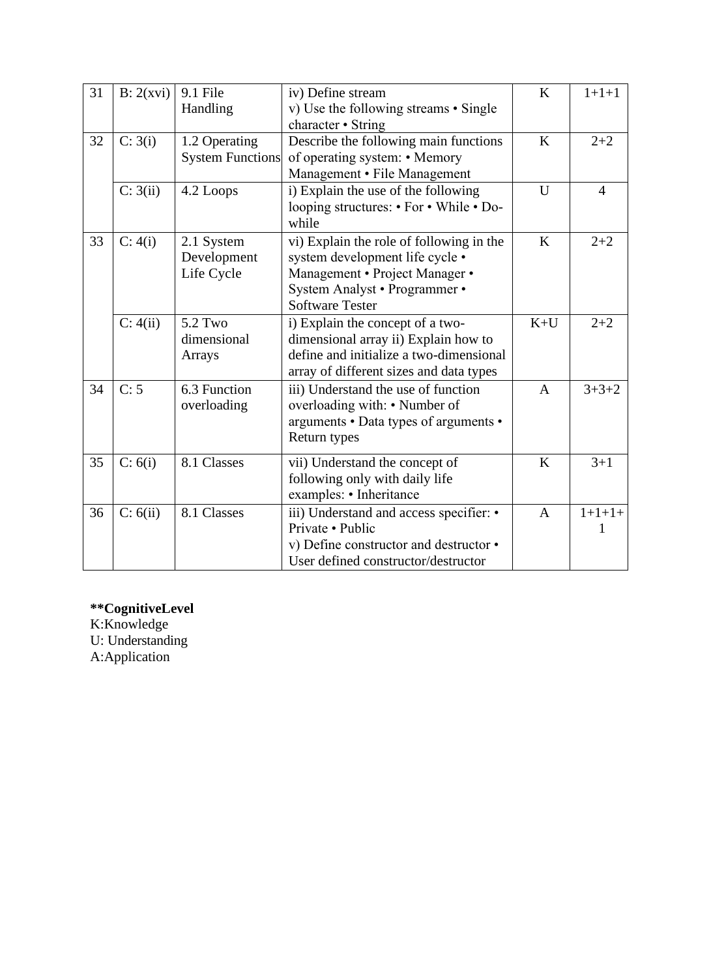| 31 | B: 2(xvi) | 9.1 File<br>Handling                     | iv) Define stream<br>v) Use the following streams • Single                                                                                                               | K     | $1+1+1$        |
|----|-----------|------------------------------------------|--------------------------------------------------------------------------------------------------------------------------------------------------------------------------|-------|----------------|
| 32 | C: 3(i)   | 1.2 Operating<br><b>System Functions</b> | character • String<br>Describe the following main functions<br>of operating system: • Memory<br>Management • File Management                                             | K     | $2 + 2$        |
|    | C: 3(ii)  | 4.2 Loops                                | i) Explain the use of the following<br>looping structures: • For • While • Do-<br>while                                                                                  | U     | $\overline{4}$ |
| 33 | C: 4(i)   | 2.1 System<br>Development<br>Life Cycle  | vi) Explain the role of following in the<br>system development life cycle •<br>Management · Project Manager ·<br>System Analyst • Programmer •<br><b>Software Tester</b> | K     | $2 + 2$        |
|    | C: 4(ii)  | 5.2 Two<br>dimensional<br>Arrays         | i) Explain the concept of a two-<br>dimensional array ii) Explain how to<br>define and initialize a two-dimensional<br>array of different sizes and data types           | $K+U$ | $2 + 2$        |
| 34 | C: 5      | 6.3 Function<br>overloading              | iii) Understand the use of function<br>overloading with: • Number of<br>arguments • Data types of arguments •<br>Return types                                            | A     | $3 + 3 + 2$    |
| 35 | C: 6(i)   | 8.1 Classes                              | vii) Understand the concept of<br>following only with daily life<br>examples: • Inheritance                                                                              | K     | $3 + 1$        |
| 36 | C: 6(ii)  | 8.1 Classes                              | iii) Understand and access specifier: •<br>Private • Public<br>v) Define constructor and destructor •<br>User defined constructor/destructor                             | A     | $1+1+1+$       |

#### **\*\*CognitiveLevel**

K:Knowledge U: Understanding A:Application